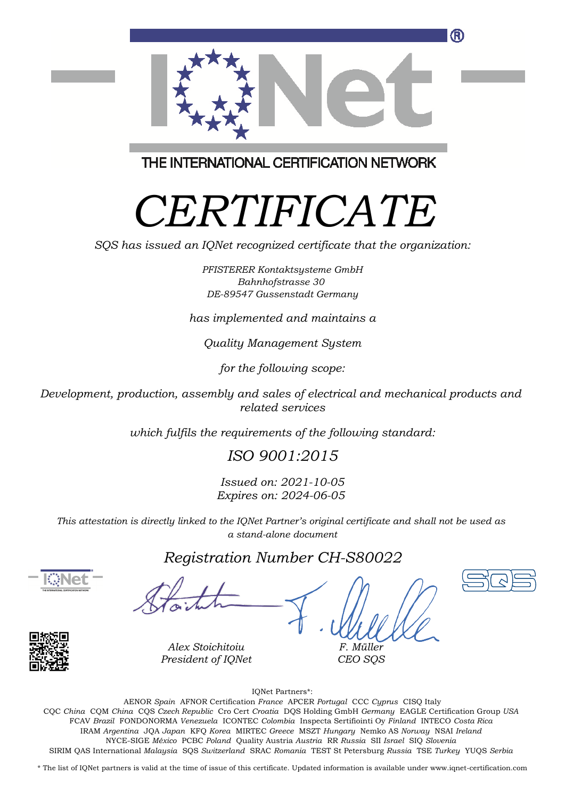

THE INTERNATIONAL CERTIFICATION NETWORK

# *CERTIFICATE*

*SQS has issued an IQNet recognized certificate that the organization:*

*PFISTERER Kontaktsysteme GmbH Bahnhofstrasse 30 DE-89547 Gussenstadt Germany*

*has implemented and maintains a*

*Quality Management System*

*for the following scope:*

*Development, production, assembly and sales of electrical and mechanical products and related services*

*which fulfils the requirements of the following standard:*

### *ISO 9001:2015*

*Issued on: 2021-10-05 Expires on: 2024-06-05*

*This attestation is directly linked to the IQNet Partner's original certificate and shall not be used as a stand-alone document*

#### *Registration Number CH-S80022*





*Alex Stoichitoiu President of IQNet*

*F. Müller CEO SQS*

IQNet Partners\*:

This annex is only valid in connection with the above-mentioned certificate. FCAV *Brazil* FONDONORMA *Venezuela* ICONTEC *Colombia* Inspecta Sertifiointi Oy *Finland* INTECO *Costa Rica* AENOR *Spain* AFNOR Certification *France* APCER *Portugal* CCC *Cyprus* CISQ Italy CQC *China* CQM *China* CQS *Czech Republic* Cro Cert *Croatia* DQS Holding GmbH *Germany* EAGLE Certification Group *USA* IRAM *Argentina* JQA *Japan* KFQ *Korea* MIRTEC *Greece* MSZT *Hungary* Nemko AS *Norway* NSAI *Ireland* NYCE-SIGE *México* PCBC *Poland* Quality Austria *Austria* RR *Russia* SII *Israel* SIQ *Slovenia* SIRIM QAS International *Malaysia* SQS *Switzerland* SRAC *Romania* TEST St Petersburg *Russia* TSE *Turkey* YUQS *Serbia*

\* The list of IQNet partners is valid at the time of issue of this certificate. Updated information is available under www.iqnet-certification.com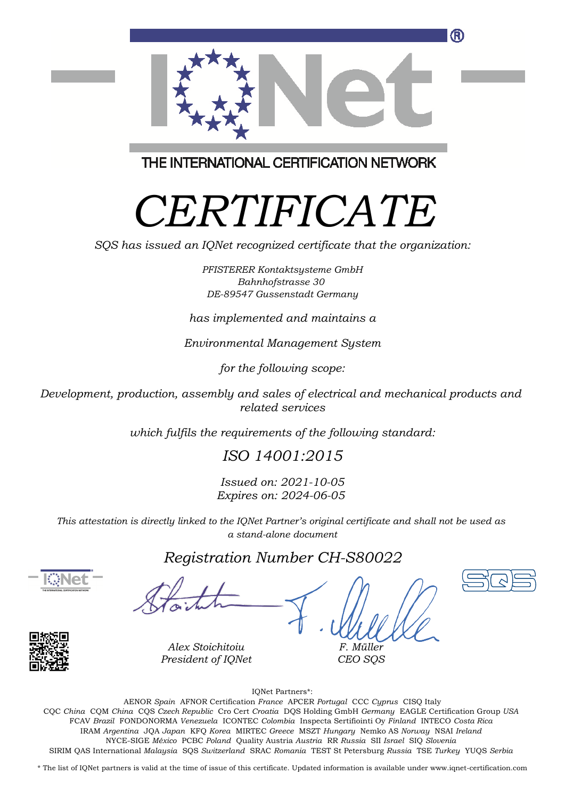

THE INTERNATIONAL CERTIFICATION NETWORK

# *CERTIFICATE*

*SQS has issued an IQNet recognized certificate that the organization:*

*PFISTERER Kontaktsysteme GmbH Bahnhofstrasse 30 DE-89547 Gussenstadt Germany*

*has implemented and maintains a*

*Environmental Management System*

*for the following scope:*

*Development, production, assembly and sales of electrical and mechanical products and related services*

*which fulfils the requirements of the following standard:*

### *ISO 14001:2015*

*Issued on: 2021-10-05 Expires on: 2024-06-05*

*This attestation is directly linked to the IQNet Partner's original certificate and shall not be used as a stand-alone document*

### *Registration Number CH-S80022*





*F. Müller CEO SQS*

IQNet Partners\*:

This annex is only valid in connection with the above-mentioned certificate. FCAV *Brazil* FONDONORMA *Venezuela* ICONTEC *Colombia* Inspecta Sertifiointi Oy *Finland* INTECO *Costa Rica* AENOR *Spain* AFNOR Certification *France* APCER *Portugal* CCC *Cyprus* CISQ Italy CQC *China* CQM *China* CQS *Czech Republic* Cro Cert *Croatia* DQS Holding GmbH *Germany* EAGLE Certification Group *USA* IRAM *Argentina* JQA *Japan* KFQ *Korea* MIRTEC *Greece* MSZT *Hungary* Nemko AS *Norway* NSAI *Ireland* NYCE-SIGE *México* PCBC *Poland* Quality Austria *Austria* RR *Russia* SII *Israel* SIQ *Slovenia* SIRIM QAS International *Malaysia* SQS *Switzerland* SRAC *Romania* TEST St Petersburg *Russia* TSE *Turkey* YUQS *Serbia*

\* The list of IQNet partners is valid at the time of issue of this certificate. Updated information is available under www.iqnet-certification.com

*Alex Stoichitoiu President of IQNet*